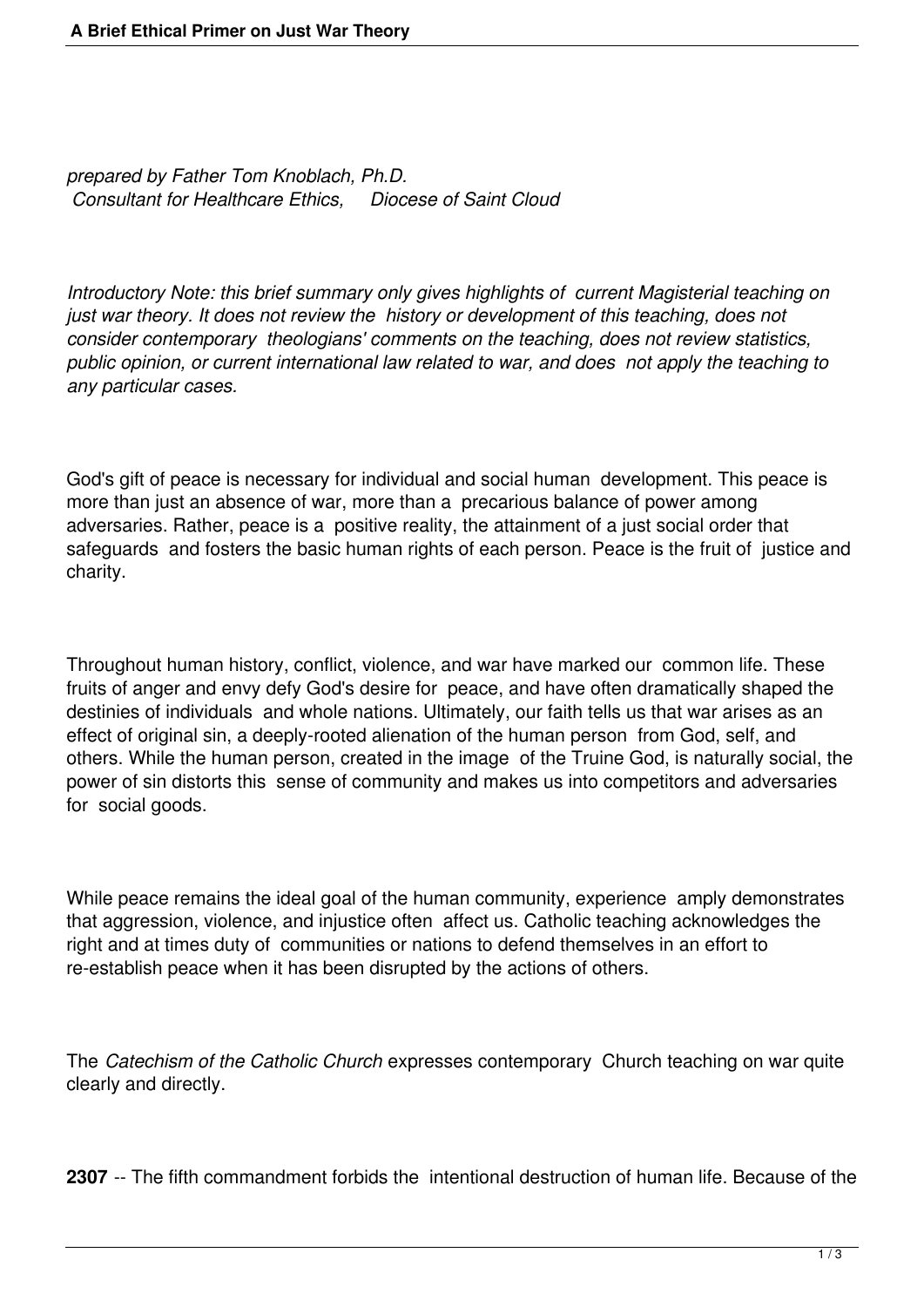*prepared by Father Tom Knoblach, Ph.D. Consultant for Healthcare Ethics, Diocese of Saint Cloud*

*Introductory Note: this brief summary only gives highlights of current Magisterial teaching on just war theory. It does not review the history or development of this teaching, does not consider contemporary theologians' comments on the teaching, does not review statistics, public opinion, or current international law related to war, and does not apply the teaching to any particular cases.*

God's gift of peace is necessary for individual and social human development. This peace is more than just an absence of war, more than a precarious balance of power among adversaries. Rather, peace is a positive reality, the attainment of a just social order that safeguards and fosters the basic human rights of each person. Peace is the fruit of justice and charity.

Throughout human history, conflict, violence, and war have marked our common life. These fruits of anger and envy defy God's desire for peace, and have often dramatically shaped the destinies of individuals and whole nations. Ultimately, our faith tells us that war arises as an effect of original sin, a deeply-rooted alienation of the human person from God, self, and others. While the human person, created in the image of the Truine God, is naturally social, the power of sin distorts this sense of community and makes us into competitors and adversaries for social goods.

While peace remains the ideal goal of the human community, experience amply demonstrates that aggression, violence, and injustice often affect us. Catholic teaching acknowledges the right and at times duty of communities or nations to defend themselves in an effort to re-establish peace when it has been disrupted by the actions of others.

The *Catechism of the Catholic Church* expresses contemporary Church teaching on war quite clearly and directly.

**2307** -- The fifth commandment forbids the intentional destruction of human life. Because of the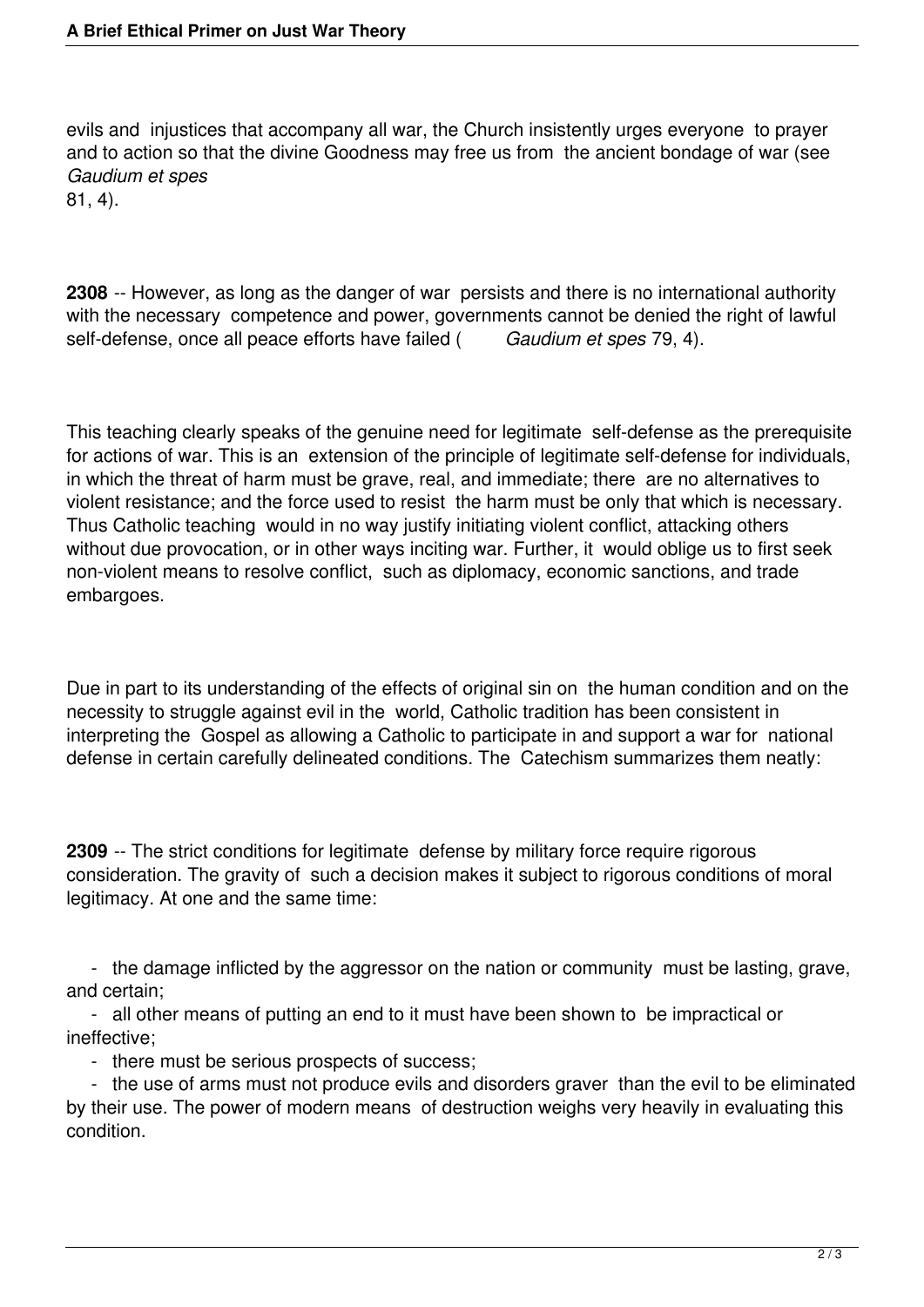evils and injustices that accompany all war, the Church insistently urges everyone to prayer and to action so that the divine Goodness may free us from the ancient bondage of war (see *Gaudium et spes*

81, 4).

**2308** -- However, as long as the danger of war persists and there is no international authority with the necessary competence and power, governments cannot be denied the right of lawful self-defense, once all peace efforts have failed (Gaudium et spes 79, 4). self-defense, once all peace efforts have failed (

This teaching clearly speaks of the genuine need for legitimate self-defense as the prerequisite for actions of war. This is an extension of the principle of legitimate self-defense for individuals, in which the threat of harm must be grave, real, and immediate; there are no alternatives to violent resistance; and the force used to resist the harm must be only that which is necessary. Thus Catholic teaching would in no way justify initiating violent conflict, attacking others without due provocation, or in other ways inciting war. Further, it would oblige us to first seek non-violent means to resolve conflict, such as diplomacy, economic sanctions, and trade embargoes.

Due in part to its understanding of the effects of original sin on the human condition and on the necessity to struggle against evil in the world, Catholic tradition has been consistent in interpreting the Gospel as allowing a Catholic to participate in and support a war for national defense in certain carefully delineated conditions. The Catechism summarizes them neatly:

**2309** -- The strict conditions for legitimate defense by military force require rigorous consideration. The gravity of such a decision makes it subject to rigorous conditions of moral legitimacy. At one and the same time:

 - the damage inflicted by the aggressor on the nation or community must be lasting, grave, and certain;

 - all other means of putting an end to it must have been shown to be impractical or ineffective;

- there must be serious prospects of success;

 - the use of arms must not produce evils and disorders graver than the evil to be eliminated by their use. The power of modern means of destruction weighs very heavily in evaluating this condition.